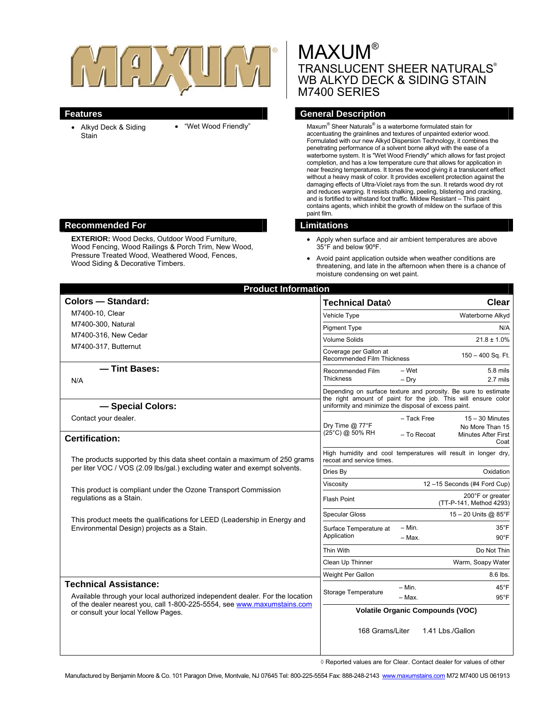

- Alkyd Deck & Siding **Stain**
- "Wet Wood Friendly"

# MAXUM®<br>ERANGLUGENT GUEER NATURALO® TRANSLUCENT SHEER NATURALS WB ALKYD DECK & SIDING STAIN M7400 SERIES

# **Features General Description**

Formulated with our new Alkyd Dispersion Technology, it combines the contains agents, which inhibit the growth of mildew on the surface of this Maxum<sup>®</sup> Sheer Naturals<sup>®</sup> is a waterborne formulated stain for accentuating the grainlines and textures of unpainted exterior wood. penetrating performance of a solvent borne alkyd with the ease of a waterborne system. It is "Wet Wood Friendly" which allows for fast project completion, and has a low temperature cure that allows for application in near freezing temperatures. It tones the wood giving it a translucent effect without a heavy mask of color. It provides excellent protection against the damaging effects of Ultra-Violet rays from the sun. It retards wood dry rot and reduces warping. It resists chalking, peeling, blistering and cracking, and is fortified to withstand foot traffic. Mildew Resistant – This paint paint film.

- Apply when surface and air ambient temperatures are above 35°F and below 90ºF.
- threatening, and late in the afternoon when there is a chance of moisture condensing on wet paint. Avoid paint application outside when weather conditions are

| <b>Product Information</b>                                                                                                                                                                                                     |                                                                                                                                 |
|--------------------------------------------------------------------------------------------------------------------------------------------------------------------------------------------------------------------------------|---------------------------------------------------------------------------------------------------------------------------------|
| <b>Colors - Standard:</b>                                                                                                                                                                                                      | <b>Technical Data</b> ♦<br>Clear                                                                                                |
| M7400-10, Clear                                                                                                                                                                                                                | Waterborne Alkyd<br>Vehicle Type                                                                                                |
| M7400-300, Natural                                                                                                                                                                                                             | <b>Pigment Type</b><br>N/A                                                                                                      |
| M7400-316, New Cedar                                                                                                                                                                                                           | <b>Volume Solids</b><br>$21.8 \pm 1.0\%$                                                                                        |
| M7400-317, Butternut                                                                                                                                                                                                           | Coverage per Gallon at<br>150 - 400 Sq. Ft.<br><b>Recommended Film Thickness</b>                                                |
| - Tint Bases:<br>N/A                                                                                                                                                                                                           | - Wet<br>5.8 mils<br>Recommended Film<br><b>Thickness</b><br>$-$ Dry<br>2.7 mils                                                |
|                                                                                                                                                                                                                                | Depending on surface texture and porosity. Be sure to estimate<br>the right amount of paint for the job. This will ensure color |
| - Special Colors:                                                                                                                                                                                                              | uniformity and minimize the disposal of excess paint.                                                                           |
| Contact your dealer.                                                                                                                                                                                                           | - Tack Free<br>$15 - 30$ Minutes<br>Dry Time @ 77°F<br>No More Than 15                                                          |
| <b>Certification:</b>                                                                                                                                                                                                          | (25°C) @ 50% RH<br>- To Recoat<br><b>Minutes After First</b><br>Coat                                                            |
| The products supported by this data sheet contain a maximum of 250 grams<br>per liter VOC / VOS (2.09 lbs/gal.) excluding water and exempt solvents.                                                                           | High humidity and cool temperatures will result in longer dry,<br>recoat and service times.                                     |
|                                                                                                                                                                                                                                | Oxidation<br>Dries By                                                                                                           |
| This product is compliant under the Ozone Transport Commission<br>regulations as a Stain.                                                                                                                                      | Viscosity<br>12-15 Seconds (#4 Ford Cup)                                                                                        |
|                                                                                                                                                                                                                                | 200°F or greater<br><b>Flash Point</b><br>(TT-P-141, Method 4293)                                                               |
| This product meets the qualifications for LEED (Leadership in Energy and<br>Environmental Design) projects as a Stain.                                                                                                         | 15 - 20 Units @ 85°F<br><b>Specular Gloss</b>                                                                                   |
|                                                                                                                                                                                                                                | $-$ Min.<br>$35^{\circ}$ F<br>Surface Temperature at<br>Application<br>$90^{\circ}$ F<br>$-$ Max.                               |
|                                                                                                                                                                                                                                | Thin With<br>Do Not Thin                                                                                                        |
|                                                                                                                                                                                                                                | Clean Up Thinner<br>Warm, Soapy Water                                                                                           |
|                                                                                                                                                                                                                                | Weight Per Gallon<br>8.6 lbs.                                                                                                   |
| <b>Technical Assistance:</b><br>Available through your local authorized independent dealer. For the location<br>of the dealer nearest you, call 1-800-225-5554, see www.maxumstains.com<br>or consult your local Yellow Pages. | $- Min.$<br>$45^{\circ}$ F<br>Storage Temperature                                                                               |
|                                                                                                                                                                                                                                | $95^{\circ}$ F<br>- Max.<br><b>Volatile Organic Compounds (VOC)</b>                                                             |
|                                                                                                                                                                                                                                | 168 Grams/Liter<br>1.41 Lbs./Gallon                                                                                             |

◊ Reported values are for Clear. Contact dealer for values of other

#### **Recommended For Limitations 2018**

**EXTERIOR:** Wood Decks, Outdoor Wood Furniture, Wood Fencing, Wood Railings & Porch Trim, New Wo od, Pressure Treated Wood, Weathered W ood, Fences, Wood Siding & Decorative Timbers.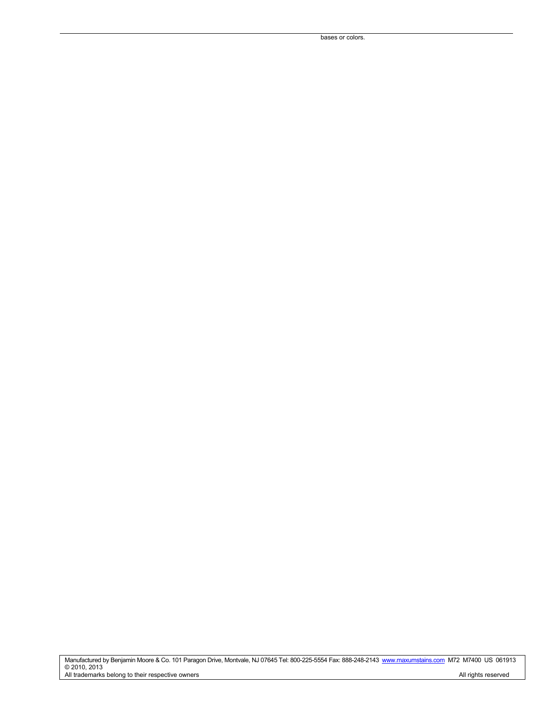bases or colors.

Manufactured by Benjamin Moore & Co. 101 Paragon Drive, Montvale, NJ 07645 Tel: 800-225-5554 Fax: 888-248-2143 www.maxumstains.com M72 M7400 US 061913 © 2010, 2013 All trademarks belong to their respective owners **All rights reserved** All rights reserved